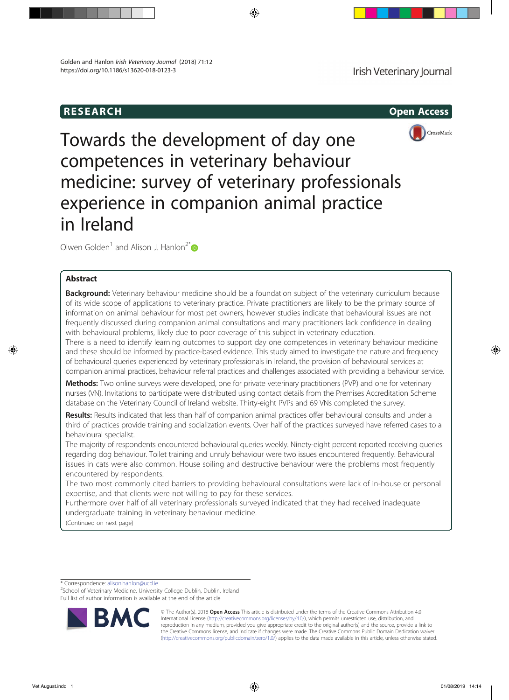# RESEARCH Open Access



Towards the development of day one competences in veterinary behaviour medicine: survey of veterinary professionals experience in companion animal practice in Ireland

Olwen Golden<sup>1</sup> and Alison J. Hanlon<sup>2\*</sup>

## Abstract

Background: Veterinary behaviour medicine should be a foundation subject of the veterinary curriculum because of its wide scope of applications to veterinary practice. Private practitioners are likely to be the primary source of information on animal behaviour for most pet owners, however studies indicate that behavioural issues are not frequently discussed during companion animal consultations and many practitioners lack confidence in dealing with behavioural problems, likely due to poor coverage of this subject in veterinary education.

There is a need to identify learning outcomes to support day one competences in veterinary behaviour medicine and these should be informed by practice-based evidence. This study aimed to investigate the nature and frequency of behavioural queries experienced by veterinary professionals in Ireland, the provision of behavioural services at companion animal practices, behaviour referral practices and challenges associated with providing a behaviour service.

Methods: Two online surveys were developed, one for private veterinary practitioners (PVP) and one for veterinary nurses (VN). Invitations to participate were distributed using contact details from the Premises Accreditation Scheme database on the Veterinary Council of Ireland website. Thirty-eight PVPs and 69 VNs completed the survey.

Results: Results indicated that less than half of companion animal practices offer behavioural consults and under a third of practices provide training and socialization events. Over half of the practices surveyed have referred cases to a behavioural specialist.

The majority of respondents encountered behavioural queries weekly. Ninety-eight percent reported receiving queries regarding dog behaviour. Toilet training and unruly behaviour were two issues encountered frequently. Behavioural issues in cats were also common. House soiling and destructive behaviour were the problems most frequently encountered by respondents.

The two most commonly cited barriers to providing behavioural consultations were lack of in-house or personal expertise, and that clients were not willing to pay for these services.

Furthermore over half of all veterinary professionals surveyed indicated that they had received inadequate undergraduate training in veterinary behaviour medicine.

(Continued on next page)

\* Correspondence: alison.hanlon@ucd.ie <sup>2</sup>

<sup>2</sup>School of Veterinary Medicine, University College Dublin, Dublin, Ireland Full list of author information is available at the end of the article



© The Author(s). 2018 Open Access This article is distributed under the terms of the Creative Commons Attribution 4.0 International License (http://creativecommons.org/licenses/by/4.0/), which permits unrestricted use, distribution, and reproduction in any medium, provided you give appropriate credit to the original author(s) and the source, provide a link to the Creative Commons license, and indicate if changes were made. The Creative Commons Public Domain Dedication waiver (http://creativecommons.org/publicdomain/zero/1.0/) applies to the data made available in this article, unless otherwise stated.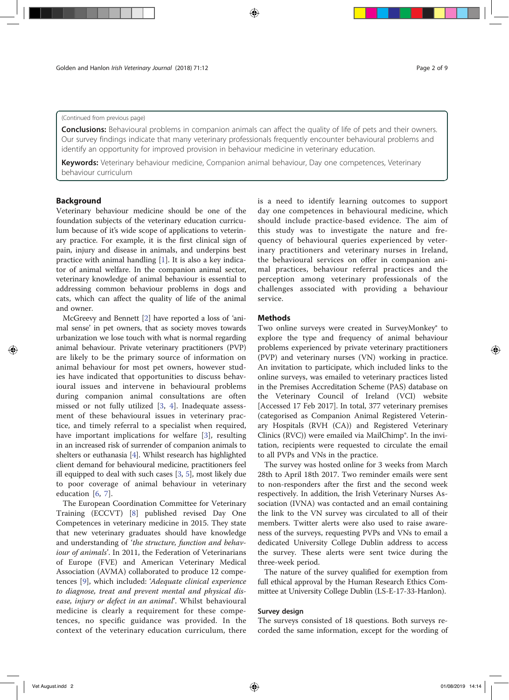#### (Continued from previous page)

**Conclusions:** Behavioural problems in companion animals can affect the quality of life of pets and their owners. Our survey findings indicate that many veterinary professionals frequently encounter behavioural problems and identify an opportunity for improved provision in behaviour medicine in veterinary education.

Keywords: Veterinary behaviour medicine, Companion animal behaviour, Day one competences, Veterinary behaviour curriculum

### Background

Veterinary behaviour medicine should be one of the foundation subjects of the veterinary education curriculum because of it's wide scope of applications to veterinary practice. For example, it is the first clinical sign of pain, injury and disease in animals, and underpins best practice with animal handling [1]. It is also a key indicator of animal welfare. In the companion animal sector, veterinary knowledge of animal behaviour is essential to addressing common behaviour problems in dogs and cats, which can affect the quality of life of the animal and owner.

McGreevy and Bennett [2] have reported a loss of 'animal sense' in pet owners, that as society moves towards urbanization we lose touch with what is normal regarding animal behaviour. Private veterinary practitioners (PVP) are likely to be the primary source of information on animal behaviour for most pet owners, however studies have indicated that opportunities to discuss behavioural issues and intervene in behavioural problems during companion animal consultations are often missed or not fully utilized [3, 4]. Inadequate assessment of these behavioural issues in veterinary practice, and timely referral to a specialist when required, have important implications for welfare [3], resulting in an increased risk of surrender of companion animals to shelters or euthanasia [4]. Whilst research has highlighted client demand for behavioural medicine, practitioners feel ill equipped to deal with such cases [3, 5], most likely due to poor coverage of animal behaviour in veterinary education [6, 7].

The European Coordination Committee for Veterinary Training (ECCVT) [8] published revised Day One Competences in veterinary medicine in 2015. They state that new veterinary graduates should have knowledge and understanding of 'the structure, function and behaviour of animals'. In 2011, the Federation of Veterinarians of Europe (FVE) and American Veterinary Medical Association (AVMA) collaborated to produce 12 competences [9], which included: 'Adequate clinical experience to diagnose, treat and prevent mental and physical disease, injury or defect in an animal'. Whilst behavioural medicine is clearly a requirement for these competences, no specific guidance was provided. In the context of the veterinary education curriculum, there is a need to identify learning outcomes to support day one competences in behavioural medicine, which should include practice-based evidence. The aim of this study was to investigate the nature and frequency of behavioural queries experienced by veterinary practitioners and veterinary nurses in Ireland, the behavioural services on offer in companion animal practices, behaviour referral practices and the perception among veterinary professionals of the challenges associated with providing a behaviour service.

### **Methods**

Two online surveys were created in SurveyMonkey® to explore the type and frequency of animal behaviour problems experienced by private veterinary practitioners (PVP) and veterinary nurses (VN) working in practice. An invitation to participate, which included links to the online surveys, was emailed to veterinary practices listed in the Premises Accreditation Scheme (PAS) database on the Veterinary Council of Ireland (VCI) website [Accessed 17 Feb 2017]. In total, 377 veterinary premises (categorised as Companion Animal Registered Veterinary Hospitals (RVH (CA)) and Registered Veterinary Clinics (RVC)) were emailed via MailChimp®. In the invitation, recipients were requested to circulate the email to all PVPs and VNs in the practice.

The survey was hosted online for 3 weeks from March 28th to April 18th 2017. Two reminder emails were sent to non-responders after the first and the second week respectively. In addition, the Irish Veterinary Nurses Association (IVNA) was contacted and an email containing the link to the VN survey was circulated to all of their members. Twitter alerts were also used to raise awareness of the surveys, requesting PVPs and VNs to email a dedicated University College Dublin address to access the survey. These alerts were sent twice during the three-week period.

The nature of the survey qualified for exemption from full ethical approval by the Human Research Ethics Committee at University College Dublin (LS-E-17-33-Hanlon).

### Survey design

The surveys consisted of 18 questions. Both surveys recorded the same information, except for the wording of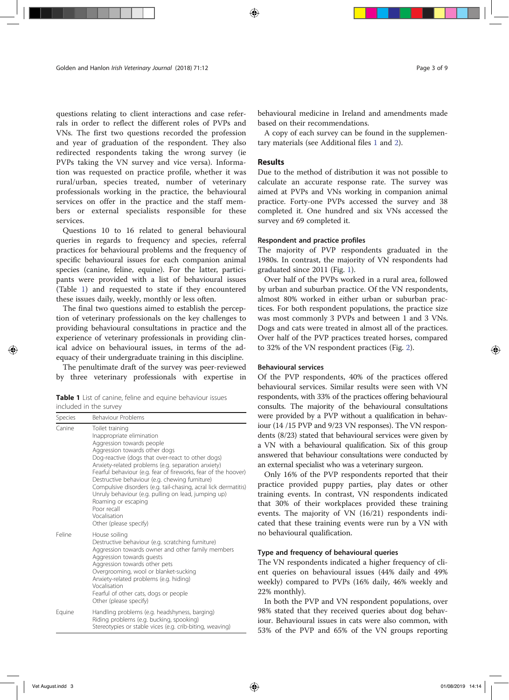questions relating to client interactions and case referrals in order to reflect the different roles of PVPs and VNs. The first two questions recorded the profession and year of graduation of the respondent. They also redirected respondents taking the wrong survey (ie PVPs taking the VN survey and vice versa). Information was requested on practice profile, whether it was rural/urban, species treated, number of veterinary professionals working in the practice, the behavioural services on offer in the practice and the staff members or external specialists responsible for these services.

Questions 10 to 16 related to general behavioural queries in regards to frequency and species, referral practices for behavioural problems and the frequency of specific behavioural issues for each companion animal species (canine, feline, equine). For the latter, participants were provided with a list of behavioural issues (Table 1) and requested to state if they encountered these issues daily, weekly, monthly or less often.

The final two questions aimed to establish the perception of veterinary professionals on the key challenges to providing behavioural consultations in practice and the experience of veterinary professionals in providing clinical advice on behavioural issues, in terms of the adequacy of their undergraduate training in this discipline.

The penultimate draft of the survey was peer-reviewed by three veterinary professionals with expertise in

|                        |  |  | Table 1 List of canine, feline and equine behaviour issues |  |
|------------------------|--|--|------------------------------------------------------------|--|
| included in the survey |  |  |                                                            |  |

| Species | Behaviour Problems                                                                                                                                                                                                                                                                                                                                                                                                                                                                                                                                  |  |  |  |
|---------|-----------------------------------------------------------------------------------------------------------------------------------------------------------------------------------------------------------------------------------------------------------------------------------------------------------------------------------------------------------------------------------------------------------------------------------------------------------------------------------------------------------------------------------------------------|--|--|--|
| Canine  | Toilet training<br>Inappropriate elimination<br>Aggression towards people<br>Aggression towards other dogs<br>Dog-reactive (dogs that over-react to other dogs)<br>Anxiety-related problems (e.g. separation anxiety)<br>Fearful behaviour (e.g. fear of fireworks, fear of the hoover)<br>Destructive behaviour (e.g. chewing furniture)<br>Compulsive disorders (e.g. tail-chasing, acral lick dermatitis)<br>Unruly behaviour (e.g. pulling on lead, jumping up)<br>Roaming or escaping<br>Poor recall<br>Vocalisation<br>Other (please specify) |  |  |  |
| Feline  | House soiling<br>Destructive behaviour (e.g. scratching furniture)<br>Aggression towards owner and other family members<br>Aggression towards guests<br>Aggression towards other pets<br>Overgrooming, wool or blanket-sucking<br>Anxiety-related problems (e.g. hiding)<br>Vocalisation<br>Fearful of other cats, dogs or people<br>Other (please specify)                                                                                                                                                                                         |  |  |  |
| Equine  | Handling problems (e.g. headshyness, barging)<br>Riding problems (e.g. bucking, spooking)<br>Stereotypies or stable vices (e.g. crib-biting, weaving)                                                                                                                                                                                                                                                                                                                                                                                               |  |  |  |

behavioural medicine in Ireland and amendments made based on their recommendations.

A copy of each survey can be found in the supplementary materials (see Additional files 1 and 2).

#### Results

Due to the method of distribution it was not possible to calculate an accurate response rate. The survey was aimed at PVPs and VNs working in companion animal practice. Forty-one PVPs accessed the survey and 38 completed it. One hundred and six VNs accessed the survey and 69 completed it.

### Respondent and practice profiles

The majority of PVP respondents graduated in the 1980s. In contrast, the majority of VN respondents had graduated since 2011 (Fig. 1).

Over half of the PVPs worked in a rural area, followed by urban and suburban practice. Of the VN respondents, almost 80% worked in either urban or suburban practices. For both respondent populations, the practice size was most commonly 3 PVPs and between 1 and 3 VNs. Dogs and cats were treated in almost all of the practices. Over half of the PVP practices treated horses, compared to 32% of the VN respondent practices (Fig. 2).

### Behavioural services

Of the PVP respondents, 40% of the practices offered behavioural services. Similar results were seen with VN respondents, with 33% of the practices offering behavioural consults. The majority of the behavioural consultations were provided by a PVP without a qualification in behaviour (14 /15 PVP and 9/23 VN responses). The VN respondents (8/23) stated that behavioural services were given by a VN with a behavioural qualification. Six of this group answered that behaviour consultations were conducted by an external specialist who was a veterinary surgeon.

Only 16% of the PVP respondents reported that their practice provided puppy parties, play dates or other training events. In contrast, VN respondents indicated that 30% of their workplaces provided these training events. The majority of VN (16/21) respondents indicated that these training events were run by a VN with no behavioural qualification.

#### Type and frequency of behavioural queries

The VN respondents indicated a higher frequency of client queries on behavioural issues (44% daily and 49% weekly) compared to PVPs (16% daily, 46% weekly and 22% monthly).

In both the PVP and VN respondent populations, over 98% stated that they received queries about dog behaviour. Behavioural issues in cats were also common, with 53% of the PVP and 65% of the VN groups reporting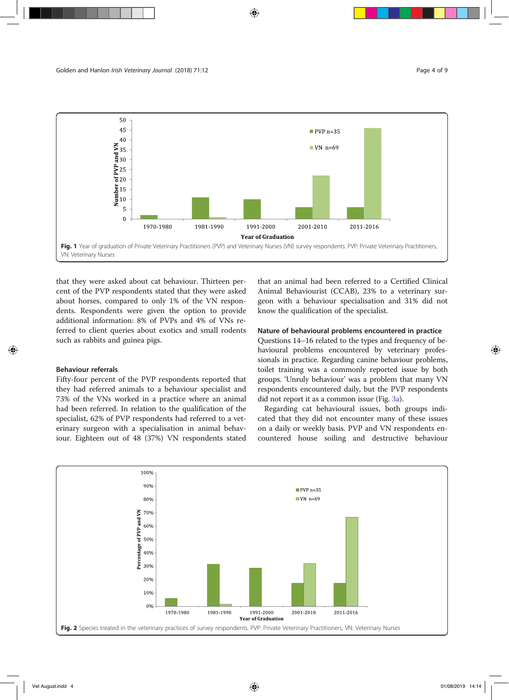

that they were asked about cat behaviour. Thirteen percent of the PVP respondents stated that they were asked about horses, compared to only 1% of the VN respondents. Respondents were given the option to provide additional information: 8% of PVPs and 4% of VNs referred to client queries about exotics and small rodents such as rabbits and guinea pigs.

### Behaviour referrals

Fifty-four percent of the PVP respondents reported that they had referred animals to a behaviour specialist and 73% of the VNs worked in a practice where an animal had been referred. In relation to the qualification of the specialist, 62% of PVP respondents had referred to a veterinary surgeon with a specialisation in animal behaviour. Eighteen out of 48 (37%) VN respondents stated that an animal had been referred to a Certified Clinical Animal Behaviourist (CCAB), 23% to a veterinary surgeon with a behaviour specialisation and 31% did not know the qualification of the specialist.

### Nature of behavioural problems encountered in practice

Questions 14–16 related to the types and frequency of behavioural problems encountered by veterinary professionals in practice. Regarding canine behaviour problems, toilet training was a commonly reported issue by both groups. 'Unruly behaviour' was a problem that many VN respondents encountered daily, but the PVP respondents did not report it as a common issue (Fig. 3a).

Regarding cat behavioural issues, both groups indicated that they did not encounter many of these issues on a daily or weekly basis. PVP and VN respondents encountered house soiling and destructive behaviour

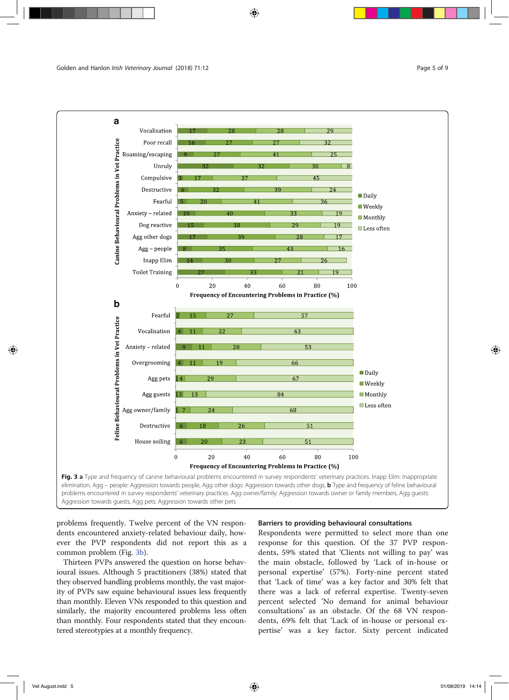



problems frequently. Twelve percent of the VN respondents encountered anxiety-related behaviour daily, however the PVP respondents did not report this as a common problem (Fig. 3b).

Thirteen PVPs answered the question on horse behavioural issues. Although 5 practitioners (38%) stated that they observed handling problems monthly, the vast majority of PVPs saw equine behavioural issues less frequently than monthly. Eleven VNs responded to this question and similarly, the majority encountered problems less often than monthly. Four respondents stated that they encountered stereotypies at a monthly frequency.

### Barriers to providing behavioural consultations

Respondents were permitted to select more than one response for this question. Of the 37 PVP respondents, 59% stated that 'Clients not willing to pay' was the main obstacle, followed by 'Lack of in-house or personal expertise' (57%). Forty-nine percent stated that 'Lack of time' was a key factor and 30% felt that there was a lack of referral expertise. Twenty-seven percent selected 'No demand for animal behaviour consultations' as an obstacle. Of the 68 VN respondents, 69% felt that 'Lack of in-house or personal expertise' was a key factor. Sixty percent indicated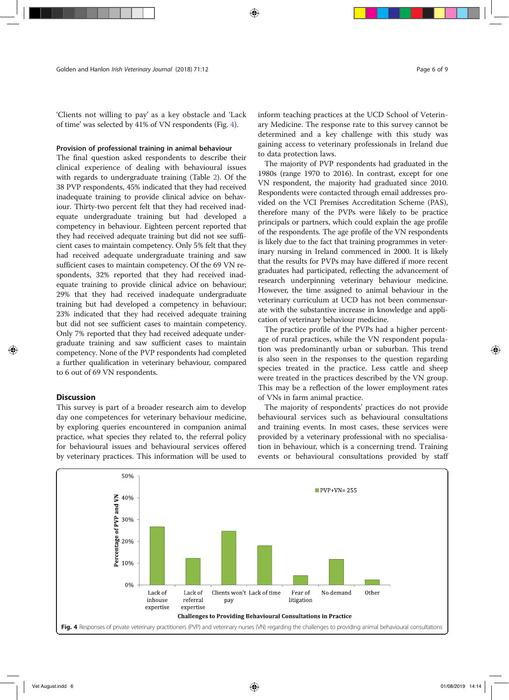'Clients not willing to pay' as a key obstacle and 'Lack of time' was selected by 41% of VN respondents (Fig. 4).

### Provision of professional training in animal behaviour

The final question asked respondents to describe their clinical experience of dealing with behavioural issues with regards to undergraduate training (Table 2). Of the 38 PVP respondents, 45% indicated that they had received inadequate training to provide clinical advice on behaviour. Thirty-two percent felt that they had received inadequate undergraduate training but had developed a competency in behaviour. Eighteen percent reported that they had received adequate training but did not see sufficient cases to maintain competency. Only 5% felt that they had received adequate undergraduate training and saw sufficient cases to maintain competency. Of the 69 VN respondents, 32% reported that they had received inadequate training to provide clinical advice on behaviour; 29% that they had received inadequate undergraduate training but had developed a competency in behaviour; 23% indicated that they had received adequate training but did not see sufficient cases to maintain competency. Only 7% reported that they had received adequate undergraduate training and saw sufficient cases to maintain competency. None of the PVP respondents had completed a further qualification in veterinary behaviour, compared to 6 out of 69 VN respondents.

### **Discussion**

This survey is part of a broader research aim to develop day one competences for veterinary behaviour medicine, by exploring queries encountered in companion animal practice, what species they related to, the referral policy for behavioural issues and behavioural services offered by veterinary practices. This information will be used to

to data protection laws. The majority of PVP respondents had graduated in the 1980s (range 1970 to 2016). In contrast, except for one VN respondent, the majority had graduated since 2010. Respondents were contacted through email addresses provided on the VCI Premises Accreditation Scheme (PAS), therefore many of the PVPs were likely to be practice principals or partners, which could explain the age profile of the respondents. The age profile of the VN respondents is likely due to the fact that training programmes in veterinary nursing in Ireland commenced in 2000. It is likely that the results for PVPs may have differed if more recent graduates had participated, reflecting the advancement of research underpinning veterinary behaviour medicine. However, the time assigned to animal behaviour in the veterinary curriculum at UCD has not been commensurate with the substantive increase in knowledge and application of veterinary behaviour medicine.

The practice profile of the PVPs had a higher percentage of rural practices, while the VN respondent population was predominantly urban or suburban. This trend is also seen in the responses to the question regarding species treated in the practice. Less cattle and sheep were treated in the practices described by the VN group. This may be a reflection of the lower employment rates of VNs in farm animal practice.

The majority of respondents' practices do not provide behavioural services such as behavioural consultations and training events. In most cases, these services were provided by a veterinary professional with no specialisation in behaviour, which is a concerning trend. Training events or behavioural consultations provided by staff

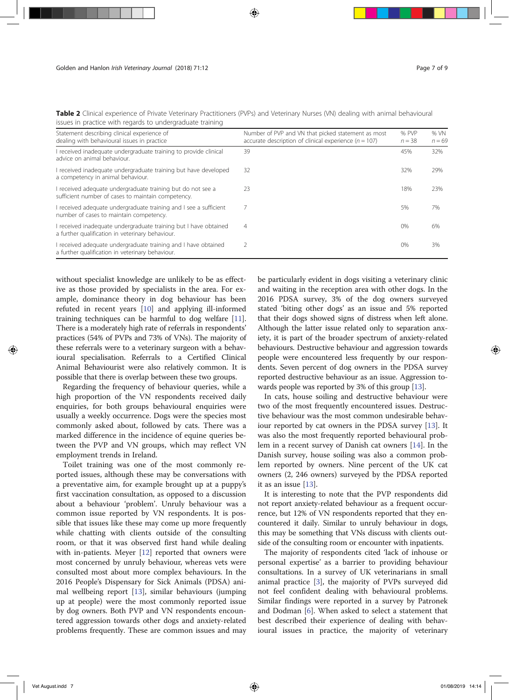| Statement describing clinical experience of<br>dealing with behavioural issues in practice                           | Number of PVP and VN that picked statement as most<br>accurate description of clinical experience ( $n = 107$ ) | % PVP<br>$n = 38$ | % VN<br>$n = 69$ |
|----------------------------------------------------------------------------------------------------------------------|-----------------------------------------------------------------------------------------------------------------|-------------------|------------------|
| I received inadequate undergraduate training to provide clinical<br>advice on animal behaviour.                      | 39                                                                                                              | 45%               | 32%              |
| I received inadeguate undergraduate training but have developed<br>a competency in animal behaviour.                 | 32                                                                                                              | 32%               | 29%              |
| I received adequate undergraduate training but do not see a<br>sufficient number of cases to maintain competency.    | 23                                                                                                              | 18%               | 23%              |
| I received adequate undergraduate training and I see a sufficient<br>number of cases to maintain competency.         |                                                                                                                 | 5%                | 7%               |
| I received inadequate undergraduate training but I have obtained<br>a further qualification in veterinary behaviour. | 4                                                                                                               | 0%                | 6%               |
| I received adequate undergraduate training and I have obtained<br>a further qualification in veterinary behaviour.   |                                                                                                                 | 0%                | 3%               |

Table 2 Clinical experience of Private Veterinary Practitioners (PVPs) and Veterinary Nurses (VN) dealing with animal behavioural issues in practice with regards to undergraduate training

without specialist knowledge are unlikely to be as effective as those provided by specialists in the area. For example, dominance theory in dog behaviour has been refuted in recent years [10] and applying ill-informed training techniques can be harmful to dog welfare [11]. There is a moderately high rate of referrals in respondents' practices (54% of PVPs and 73% of VNs). The majority of these referrals were to a veterinary surgeon with a behavioural specialisation. Referrals to a Certified Clinical Animal Behaviourist were also relatively common. It is possible that there is overlap between these two groups.

Regarding the frequency of behaviour queries, while a high proportion of the VN respondents received daily enquiries, for both groups behavioural enquiries were usually a weekly occurrence. Dogs were the species most commonly asked about, followed by cats. There was a marked difference in the incidence of equine queries between the PVP and VN groups, which may reflect VN employment trends in Ireland.

Toilet training was one of the most commonly reported issues, although these may be conversations with a preventative aim, for example brought up at a puppy's first vaccination consultation, as opposed to a discussion about a behaviour 'problem'. Unruly behaviour was a common issue reported by VN respondents. It is possible that issues like these may come up more frequently while chatting with clients outside of the consulting room, or that it was observed first hand while dealing with in-patients. Meyer [12] reported that owners were most concerned by unruly behaviour, whereas vets were consulted most about more complex behaviours. In the 2016 People's Dispensary for Sick Animals (PDSA) animal wellbeing report [13], similar behaviours (jumping up at people) were the most commonly reported issue by dog owners. Both PVP and VN respondents encountered aggression towards other dogs and anxiety-related problems frequently. These are common issues and may be particularly evident in dogs visiting a veterinary clinic and waiting in the reception area with other dogs. In the 2016 PDSA survey, 3% of the dog owners surveyed stated 'biting other dogs' as an issue and 5% reported that their dogs showed signs of distress when left alone. Although the latter issue related only to separation anxiety, it is part of the broader spectrum of anxiety-related behaviours. Destructive behaviour and aggression towards people were encountered less frequently by our respondents. Seven percent of dog owners in the PDSA survey reported destructive behaviour as an issue. Aggression towards people was reported by 3% of this group [13].

In cats, house soiling and destructive behaviour were two of the most frequently encountered issues. Destructive behaviour was the most common undesirable behaviour reported by cat owners in the PDSA survey [13]. It was also the most frequently reported behavioural problem in a recent survey of Danish cat owners [14]. In the Danish survey, house soiling was also a common problem reported by owners. Nine percent of the UK cat owners (2, 246 owners) surveyed by the PDSA reported it as an issue [13].

It is interesting to note that the PVP respondents did not report anxiety-related behaviour as a frequent occurrence, but 12% of VN respondents reported that they encountered it daily. Similar to unruly behaviour in dogs, this may be something that VNs discuss with clients outside of the consulting room or encounter with inpatients.

The majority of respondents cited 'lack of inhouse or personal expertise' as a barrier to providing behaviour consultations. In a survey of UK veterinarians in small animal practice [3], the majority of PVPs surveyed did not feel confident dealing with behavioural problems. Similar findings were reported in a survey by Patronek and Dodman [6]. When asked to select a statement that best described their experience of dealing with behavioural issues in practice, the majority of veterinary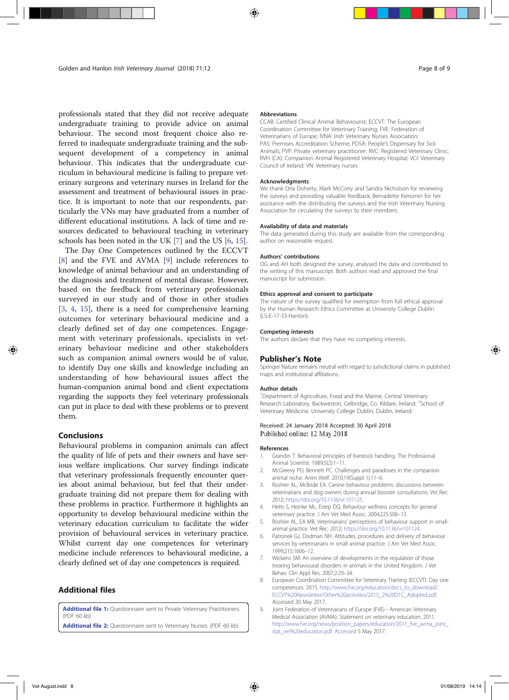professionals stated that they did not receive adequate undergraduate training to provide advice on animal behaviour. The second most frequent choice also referred to inadequate undergraduate training and the subsequent development of a competency in animal behaviour. This indicates that the undergraduate curriculum in behavioural medicine is failing to prepare veterinary surgeons and veterinary nurses in Ireland for the assessment and treatment of behavioural issues in practice. It is important to note that our respondents, particularly the VNs may have graduated from a number of different educational institutions. A lack of time and resources dedicated to behavioural teaching in veterinary schools has been noted in the UK [7] and the US [6, 15].

The Day One Competences outlined by the ECCVT [8] and the FVE and AVMA [9] include references to knowledge of animal behaviour and an understanding of the diagnosis and treatment of mental disease. However, based on the feedback from veterinary professionals surveyed in our study and of those in other studies [3, 4, 15], there is a need for comprehensive learning outcomes for veterinary behavioural medicine and a clearly defined set of day one competences. Engagement with veterinary professionals, specialists in veterinary behaviour medicine and other stakeholders such as companion animal owners would be of value, to identify Day one skills and knowledge including an understanding of how behavioural issues affect the human-companion animal bond and client expectations regarding the supports they feel veterinary professionals can put in place to deal with these problems or to prevent them.

### Conclusions

Behavioural problems in companion animals can affect the quality of life of pets and their owners and have serious welfare implications. Our survey findings indicate that veterinary professionals frequently encounter queries about animal behaviour, but feel that their undergraduate training did not prepare them for dealing with these problems in practice. Furthermore it highlights an opportunity to develop behavioural medicine within the veterinary education curriculum to facilitate the wider provision of behavioural services in veterinary practice. Whilst current day one competences for veterinary medicine include references to behavioural medicine, a clearly defined set of day one competences is required.

### Additional files

Additional file 1: Questionnaire sent to Private Veterinary Practitioners. (PDF 60 kb) Additional file 2: Questionnaire sent to Veterinary Nurses. (PDF 60 kb)

#### Abbreviations

CCAB: Certified Clinical Animal Behaviourist; ECCVT: The European Coordination Committee for Veterinary Training; FVE: Federation of Veterinarians of Europe; IVNA: Irish Veterinary Nurses Association; PAS: Premises Accreditation Scheme; PDSA: People's Dispensary for Sick Animals; PVP: Private veterinary practitioner; RVC: Registered Veterinary Clinic; RVH (CA): Companion Animal Registered Veterinary Hospital; VCI: Veterinary Council of Ireland; VN: Veterinary nurses

#### Acknowledgments

We thank Orla Doherty, Mark McCorry and Sandra Nicholson for reviewing the surveys and providing valuable feedback; Bernadette Kieromin for her assistance with the distributing the surveys and the Irish Veterinary Nursing Association for circulating the surveys to their members.

#### Availability of data and materials

The data generated during this study are available from the corresponding author on reasonable request.

#### Authors' contributions

OG and AH both designed the survey, analysed the data and contributed to the writing of this manuscript. Both authors read and approved the final manuscript for submission.

#### Ethics approval and consent to participate

The nature of the survey qualified for exemption from full ethical approval by the Human Research Ethics Committee at University College Dublin (LS-E-17-33-Hanlon).

#### Competing interests

The authors declare that they have no competing interests.

#### Publisher's Note

Springer Nature remains neutral with regard to jurisdictional claims in published maps and institutional affiliations.

#### Author details

<sup>1</sup>Department of Agriculture, Food and the Marine, Central Veterinary Research Laboratory, Backweston, Celbridge, Co. Kildare, Ireland. <sup>2</sup>School of Veterinary Medicine, University College Dublin, Dublin, Ireland.

#### Received: 24 January 2018 Accepted: 30 April 2018 Published online: 12 May 2018

#### References

- 1. Grandin T. Behavioral principles of livestock handling. The Professional Animal Scientist. 1989;5(2):1–11.
- 2. McGreevy PD, Bennett PC. Challenges and paradoxes in the companion animal niche. Anim Welf. 2010;19(Suppl 1):11–6.
- 3. Roshier AL, McBride EA. Canine behaviour problems: discussions between veterinarians and dog owners during annual booster consultations. Vet Rec. 2012; https://doi.org/10.1136/vr.101125.
- 4. Hetts S, Heinke ML, Estep DQ. Behaviour wellness concepts for general veterinary practice. J Am Vet Med Assoc. 2004;225:506–13.
- 5. Roshier AL, EA MB. Veterinarians' perceptions of behaviour support in smallanimal practice. Vet Rec. 2012; https://doi.org/10.1136/vr101124.
- 6. Patronek GJ, Dodman NH. Attitudes, procedures and delivery of behaviour services by veterinarians in small animal practice. J Am Vet Med Assoc. 1999;215:1606–12.
- 7. Wickens SM. An overview of developments in the regulation of those treating behavioural disorders in animals in the United Kingdom. J Vet Behav: Clin Appl Res. 2007;2:29–34.
- 8. European Coordination Committee for Veterinary Training (ECCVT): Day one competences. 2015. http://www.fve.org/education/docs\_to\_download/ ECCVT%20Newsletter/Other%20activities/2015\_2%20D1C\_Adopted.pdf. Accessed 30 May 2017.
- 9. Joint Federation of Veterinarians of Europe (FVE) American Veterinary Medical Association (AVMA): Statement on veterinary education. 2011. http://www.fve.org/news/position\_papers/education/2011\_fve\_avma\_joint\_ stat\_vet%20education.pdf. Accessed 5 May 2017.